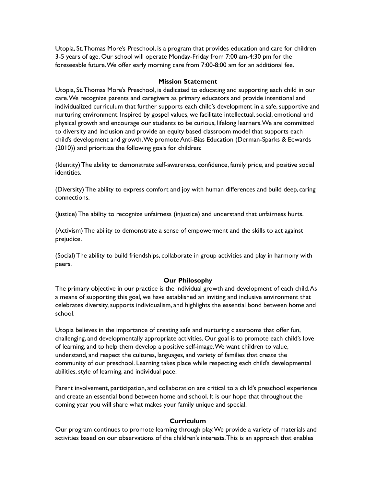Utopia, St.Thomas More's Preschool, is a program that provides education and care for children 3-5 years of age. Our school will operate Monday-Friday from 7:00 am-4:30 pm for the foreseeable future.We offer early morning care from 7:00-8:00 am for an additional fee.

## **Mission Statement**

Utopia, St.Thomas More's Preschool, is dedicated to educating and supporting each child in our care.We recognize parents and caregivers as primary educators and provide intentional and individualized curriculum that further supports each child's development in a safe, supportive and nurturing environment. Inspired by gospel values, we facilitate intellectual, social, emotional and physical growth and encourage our students to be curious, lifelong learners.We are committed to diversity and inclusion and provide an equity based classroom model that supports each child's development and growth.We promote Anti-Bias Education (Derman-Sparks & Edwards (2010)) and prioritize the following goals for children:

(Identity) The ability to demonstrate self-awareness, confidence, family pride, and positive social identities.

(Diversity) The ability to express comfort and joy with human differences and build deep, caring connections.

(Justice) The ability to recognize unfairness (injustice) and understand that unfairness hurts.

(Activism) The ability to demonstrate a sense of empowerment and the skills to act against prejudice.

(Social) The ability to build friendships, collaborate in group activities and play in harmony with peers.

#### **Our Philosophy**

The primary objective in our practice is the individual growth and development of each child.As a means of supporting this goal, we have established an inviting and inclusive environment that celebrates diversity, supports individualism, and highlights the essential bond between home and school.

Utopia believes in the importance of creating safe and nurturing classrooms that offer fun, challenging, and developmentally appropriate activities. Our goal is to promote each child's love of learning, and to help them develop a positive self-image.We want children to value, understand, and respect the cultures, languages, and variety of families that create the community of our preschool. Learning takes place while respecting each child's developmental abilities, style of learning, and individual pace.

Parent involvement, participation, and collaboration are critical to a child's preschool experience and create an essential bond between home and school. It is our hope that throughout the coming year you will share what makes your family unique and special.

#### **Curriculum**

Our program continues to promote learning through play.We provide a variety of materials and activities based on our observations of the children's interests.This is an approach that enables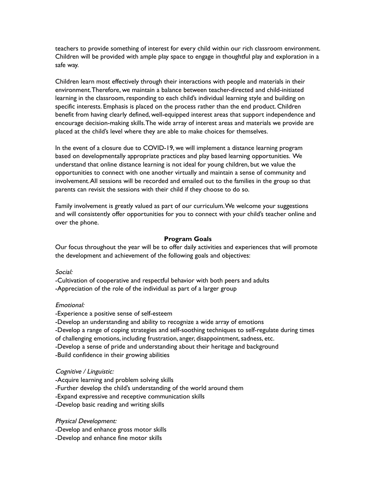teachers to provide something of interest for every child within our rich classroom environment. Children will be provided with ample play space to engage in thoughtful play and exploration in a safe way.

Children learn most effectively through their interactions with people and materials in their environment.Therefore, we maintain a balance between teacher-directed and child-initiated learning in the classroom, responding to each child's individual learning style and building on specific interests. Emphasis is placed on the process rather than the end product. Children benefit from having clearly defined, well-equipped interest areas that support independence and encourage decision-making skills.The wide array of interest areas and materials we provide are placed at the child's level where they are able to make choices for themselves.

In the event of a closure due to COVID-19, we will implement a distance learning program based on developmentally appropriate practices and play based learning opportunities. We understand that online distance learning is not ideal for young children, but we value the opportunities to connect with one another virtually and maintain a sense of community and involvement.All sessions will be recorded and emailed out to the families in the group so that parents can revisit the sessions with their child if they choose to do so.

Family involvement is greatly valued as part of our curriculum.We welcome your suggestions and will consistently offer opportunities for you to connect with your child's teacher online and over the phone.

#### **Program Goals**

Our focus throughout the year will be to offer daily activities and experiences that will promote the development and achievement of the following goals and objectives:

#### Social:

-Cultivation of cooperative and respectful behavior with both peers and adults -Appreciation of the role of the individual as part of a larger group

#### Emotional:

-Experience a positive sense of self-esteem

-Develop an understanding and ability to recognize a wide array of emotions

-Develop a range of coping strategies and self-soothing techniques to self-regulate during times

of challenging emotions, including frustration, anger, disappointment, sadness, etc.

-Develop a sense of pride and understanding about their heritage and background

-Build confidence in their growing abilities

#### Cognitive / Linguistic:

-Acquire learning and problem solving skills -Further develop the child's understanding of the world around them -Expand expressive and receptive communication skills -Develop basic reading and writing skills

#### Physical Development:

-Develop and enhance gross motor skills -Develop and enhance fine motor skills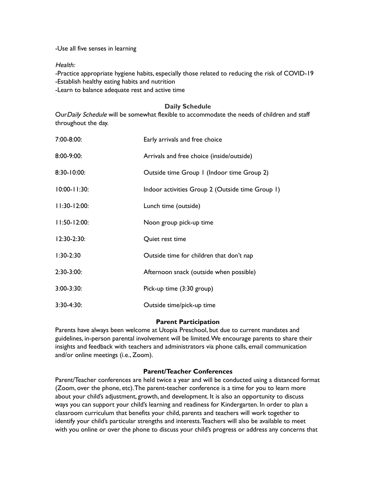-Use all five senses in learning

Health:

-Practice appropriate hygiene habits, especially those related to reducing the risk of COVID-19 -Establish healthy eating habits and nutrition -Learn to balance adequate rest and active time

# **Daily Schedule**

Our Daily Schedule will be somewhat flexible to accommodate the needs of children and staff throughout the day.

| 7:00-8:00:        | Early arrivals and free choice                   |
|-------------------|--------------------------------------------------|
| 8:00-9:00:        | Arrivals and free choice (inside/outside)        |
| 8:30-10:00:       | Outside time Group I (Indoor time Group 2)       |
| 10:00-11:30:      | Indoor activities Group 2 (Outside time Group 1) |
| $11:30-12:00:$    | Lunch time (outside)                             |
| $11:50 - 12:00$ : | Noon group pick-up time                          |
| $12:30-2:30:$     | Quiet rest time                                  |
| $1:30-2:30$       | Outside time for children that don't nap         |
| $2:30-3:00:$      | Afternoon snack (outside when possible)          |
| $3:00 - 3:30:$    | Pick-up time (3:30 group)                        |
| $3:30-4:30:$      | Outside time/pick-up time                        |

# **Parent Participation**

Parents have always been welcome at Utopia Preschool, but due to current mandates and guidelines, in-person parental involvement will be limited.We encourage parents to share their insights and feedback with teachers and administrators via phone calls, email communication and/or online meetings (i.e., Zoom).

# **Parent/Teacher Conferences**

Parent/Teacher conferences are held twice a year and will be conducted using a distanced format (Zoom, over the phone, etc).The parent-teacher conference is a time for you to learn more about your child's adjustment, growth, and development. It is also an opportunity to discuss ways you can support your child's learning and readiness for Kindergarten. In order to plan a classroom curriculum that benefits your child, parents and teachers will work together to identify your child's particular strengths and interests.Teachers will also be available to meet with you online or over the phone to discuss your child's progress or address any concerns that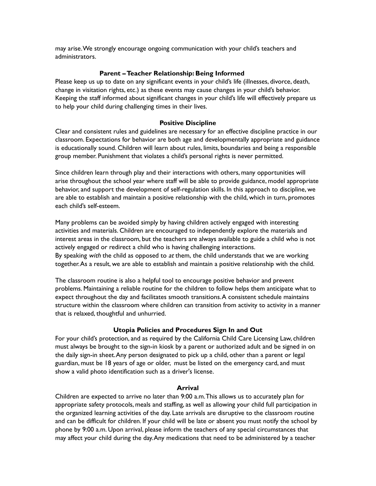may arise.We strongly encourage ongoing communication with your child's teachers and administrators.

# **Parent –Teacher Relationship: Being Informed**

Please keep us up to date on any significant events in your child's life (illnesses, divorce, death, change in visitation rights, etc.) as these events may cause changes in your child's behavior. Keeping the staff informed about significant changes in your child's life will effectively prepare us to help your child during challenging times in their lives.

# **Positive Discipline**

Clear and consistent rules and guidelines are necessary for an effective discipline practice in our classroom. Expectations for behavior are both age and developmentally appropriate and guidance is educationally sound. Children will learn about rules, limits, boundaries and being a responsible group member. Punishment that violates a child's personal rights is never permitted.

Since children learn through play and their interactions with others, many opportunities will arise throughout the school year where staff will be able to provide guidance, model appropriate behavior, and support the development of self-regulation skills. In this approach to discipline, we are able to establish and maintain a positive relationship with the child, which in turn, promotes each child's self-esteem.

Many problems can be avoided simply by having children actively engaged with interesting activities and materials. Children are encouraged to independently explore the materials and interest areas in the classroom, but the teachers are always available to guide a child who is not actively engaged or redirect a child who is having challenging interactions. By speaking with the child as opposed to  $at$  them, the child understands that we are working

together.As a result, we are able to establish and maintain a positive relationship with the child.

The classroom routine is also a helpful tool to encourage positive behavior and prevent problems. Maintaining a reliable routine for the children to follow helps them anticipate what to expect throughout the day and facilitates smooth transitions. A consistent schedule maintains structure within the classroom where children can transition from activity to activity in a manner that is relaxed, thoughtful and unhurried.

# **Utopia Policies and Procedures Sign In and Out**

For your child's protection, and as required by the California Child Care Licensing Law, children must always be brought to the sign-in kiosk by a parent or authorized adult and be signed in on the daily sign-in sheet.Any person designated to pick up a child, other than a parent or legal guardian, must be 18 years of age or older, must be listed on the emergency card, and must show a valid photo identification such as a driver's license.

# **Arrival**

Children are expected to arrive no later than 9:00 a.m.This allows us to accurately plan for appropriate safety protocols, meals and staffing, as well as allowing your child full participation in the organized learning activities of the day. Late arrivals are disruptive to the classroom routine and can be difficult for children. If your child will be late or absent you must notify the school by phone by 9:00 a.m. Upon arrival, please inform the teachers of any special circumstances that may affect your child during the day.Any medications that need to be administered by a teacher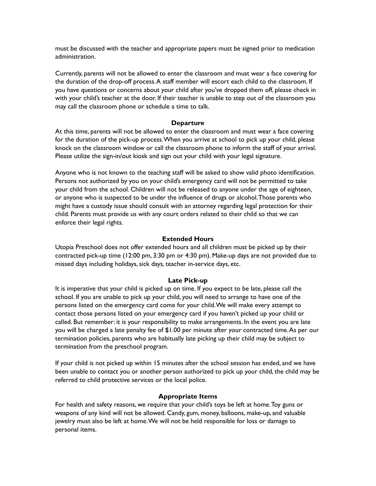must be discussed with the teacher and appropriate papers must be signed prior to medication administration.

Currently, parents will not be allowed to enter the classroom and must wear a face covering for the duration of the drop-off process.A staff member will escort each child to the classroom. If you have questions or concerns about your child after you've dropped them off, please check in with your child's teacher at the door. If their teacher is unable to step out of the classroom you may call the classroom phone or schedule a time to talk.

# **Departure**

At this time, parents will not be allowed to enter the classroom and must wear a face covering for the duration of the pick-up process.When you arrive at school to pick up your child, please knock on the classroom window or call the classroom phone to inform the staff of your arrival. Please utilize the sign-in/out kiosk and sign out your child with your legal signature.

Anyone who is not known to the teaching staff will be asked to show valid photo identification. Persons not authorized by you on your child's emergency card will not be permitted to take your child from the school. Children will not be released to anyone under the age of eighteen, or anyone who is suspected to be under the influence of drugs or alcohol.Those parents who might have a custody issue should consult with an attorney regarding legal protection for their child. Parents must provide us with any court orders related to their child so that we can enforce their legal rights.

# **Extended Hours**

Utopia Preschool does not offer extended hours and all children must be picked up by their contracted pick-up time (12:00 pm, 3:30 pm or 4:30 pm). Make-up days are not provided due to missed days including holidays, sick days, teacher in-service days, etc.

# **Late Pick-up**

It is imperative that your child is picked up on time. If you expect to be late, please call the school. If you are unable to pick up your child, you will need to arrange to have one of the persons listed on the emergency card come for your child.We will make every attempt to contact those persons listed on your emergency card if you haven't picked up your child or called. But remember: it is your responsibility to make arrangements. In the event you are late you will be charged a late penalty fee of \$1.00 per minute after your contracted time.As per our termination policies, parents who are habitually late picking up their child may be subject to termination from the preschool program.

If your child is not picked up within 15 minutes after the school session has ended, and we have been unable to contact you or another person authorized to pick up your child, the child may be referred to child protective services or the local police.

# **Appropriate Items**

For health and safety reasons, we require that your child's toys be left at home.Toy guns or weapons of any kind will not be allowed. Candy, gum, money, balloons, make-up, and valuable jewelry must also be left at home.We will not be held responsible for loss or damage to personal items.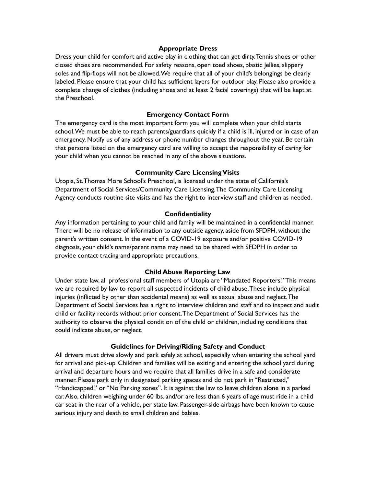### **Appropriate Dress**

Dress your child for comfort and active play in clothing that can get dirty.Tennis shoes or other closed shoes are recommended. For safety reasons, open toed shoes, plastic Jellies, slippery soles and flip-flops will not be allowed.We require that all of your child's belongings be clearly labeled. Please ensure that your child has sufficient layers for outdoor play. Please also provide a complete change of clothes (including shoes and at least 2 facial coverings) that will be kept at the Preschool.

## **Emergency Contact Form**

The emergency card is the most important form you will complete when your child starts school.We must be able to reach parents/guardians quickly if a child is ill, injured or in case of an emergency. Notify us of any address or phone number changes throughout the year. Be certain that persons listed on the emergency card are willing to accept the responsibility of caring for your child when you cannot be reached in any of the above situations.

#### **Community Care LicensingVisits**

Utopia, St.Thomas More School's Preschool, is licensed under the state of California's Department of Social Services/Community Care Licensing.The Community Care Licensing Agency conducts routine site visits and has the right to interview staff and children as needed.

#### **Confidentiality**

Any information pertaining to your child and family will be maintained in a confidential manner. There will be no release of information to any outside agency, aside from SFDPH, without the parent's written consent. In the event of a COVID-19 exposure and/or positive COVID-19 diagnosis, your child's name/parent name may need to be shared with SFDPH in order to provide contact tracing and appropriate precautions.

#### **Child Abuse Reporting Law**

Under state law, all professional staff members of Utopia are "Mandated Reporters." This means we are required by law to report all suspected incidents of child abuse.These include physical injuries (inflicted by other than accidental means) as well as sexual abuse and neglect.The Department of Social Services has a right to interview children and staff and to inspect and audit child or facility records without prior consent.The Department of Social Services has the authority to observe the physical condition of the child or children, including conditions that could indicate abuse, or neglect.

#### **Guidelines for Driving/Riding Safety and Conduct**

All drivers must drive slowly and park safely at school, especially when entering the school yard for arrival and pick-up. Children and families will be exiting and entering the school yard during arrival and departure hours and we require that all families drive in a safe and considerate manner. Please park only in designated parking spaces and do not park in "Restricted," "Handicapped," or "No Parking zones". It is against the law to leave children alone in a parked car.Also, children weighing under 60 lbs. and/or are less than 6 years of age must ride in a child car seat in the rear of a vehicle, per state law. Passenger-side airbags have been known to cause serious injury and death to small children and babies.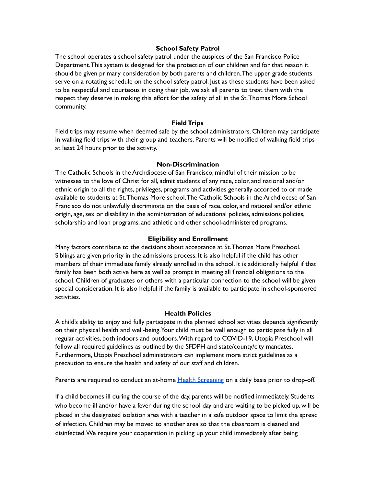## **School Safety Patrol**

The school operates a school safety patrol under the auspices of the San Francisco Police Department.This system is designed for the protection of our children and for that reason it should be given primary consideration by both parents and children.The upper grade students serve on a rotating schedule on the school safety patrol. Just as these students have been asked to be respectful and courteous in doing their job, we ask all parents to treat them with the respect they deserve in making this effort for the safety of all in the St.Thomas More School community.

#### **FieldTrips**

Field trips may resume when deemed safe by the school administrators. Children may participate in walking field trips with their group and teachers. Parents will be notified of walking field trips at least 24 hours prior to the activity.

#### **Non-Discrimination**

The Catholic Schools in the Archdiocese of San Francisco, mindful of their mission to be witnesses to the love of Christ for all, admit students of any race, color, and national and/or ethnic origin to all the rights, privileges, programs and activities generally accorded to or made available to students at St.Thomas More school.The Catholic Schools in the Archdiocese of San Francisco do not unlawfully discriminate on the basis of race, color, and national and/or ethnic origin, age, sex or disability in the administration of educational policies, admissions policies, scholarship and loan programs, and athletic and other school-administered programs.

#### **Eligibility and Enrollment**

Many factors contribute to the decisions about acceptance at St.Thomas More Preschool. Siblings are given priority in the admissions process. It is also helpful if the child has other members of their immediate family already enrolled in the school. It is additionally helpful if that family has been both active here as well as prompt in meeting all financial obligations to the school. Children of graduates or others with a particular connection to the school will be given special consideration. It is also helpful if the family is available to participate in school-sponsored activities.

# **Health Policies**

A child's ability to enjoy and fully participate in the planned school activities depends significantly on their physical health and well-being.Your child must be well enough to participate fully in all regular activities, both indoors and outdoors.With regard to COVID-19, Utopia Preschool will follow all required guidelines as outlined by the SFDPH and state/county/city mandates. Furthermore, Utopia Preschool administrators can implement more strict guidelines as a precaution to ensure the health and safety of our staff and children.

Parents are required to conduct an at-home **Health [Screening](https://www.sfdph.org/dph/files/ig/Parent-Guardian-Health-Check-Handout.pdf) on a daily basis prior to drop-off.** 

If a child becomes ill during the course of the day, parents will be notified immediately. Students who become ill and/or have a fever during the school day and are waiting to be picked up, will be placed in the designated isolation area with a teacher in a safe outdoor space to limit the spread of infection. Children may be moved to another area so that the classroom is cleaned and disinfected.We require your cooperation in picking up your child immediately after being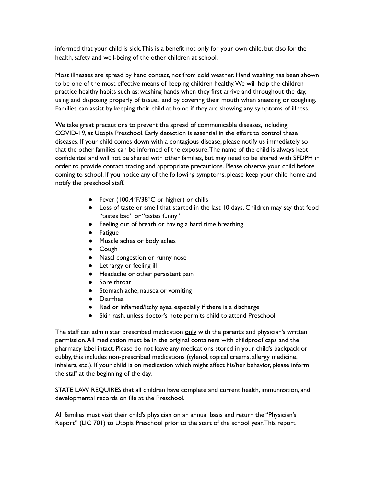informed that your child is sick.This is a benefit not only for your own child, but also for the health, safety and well-being of the other children at school.

Most illnesses are spread by hand contact, not from cold weather. Hand washing has been shown to be one of the most effective means of keeping children healthy.We will help the children practice healthy habits such as: washing hands when they first arrive and throughout the day, using and disposing properly of tissue, and by covering their mouth when sneezing or coughing. Families can assist by keeping their child at home if they are showing any symptoms of illness.

We take great precautions to prevent the spread of communicable diseases, including COVID-19, at Utopia Preschool. Early detection is essential in the effort to control these diseases. If your child comes down with a contagious disease, please notify us immediately so that the other families can be informed of the exposure.The name of the child is always kept confidential and will not be shared with other families, but may need to be shared with SFDPH in order to provide contact tracing and appropriate precautions. Please observe your child before coming to school. If you notice any of the following symptoms, please keep your child home and notify the preschool staff.

- Fever (100.4°F/38°C or higher) or chills
- Loss of taste or smell that started in the last 10 days. Children may say that food "tastes bad" or "tastes funny"
- Feeling out of breath or having a hard time breathing
- Fatigue
- Muscle aches or body aches
- Cough
- Nasal congestion or runny nose
- Lethargy or feeling ill
- Headache or other persistent pain
- Sore throat
- Stomach ache, nausea or vomiting
- Diarrhea
- Red or inflamed/itchy eyes, especially if there is a discharge
- Skin rash, unless doctor's note permits child to attend Preschool

The staff can administer prescribed medication only with the parent's and physician's written permission.All medication must be in the original containers with childproof caps and the pharmacy label intact. Please do not leave any medications stored in your child's backpack or cubby, this includes non-prescribed medications (tylenol, topical creams, allergy medicine, inhalers, etc.). If your child is on medication which might affect his/her behavior, please inform the staff at the beginning of the day.

STATE LAW REQUIRES that all children have complete and current health, immunization, and developmental records on file at the Preschool.

All families must visit their child's physician on an annual basis and return the "Physician's Report" (LIC 701) to Utopia Preschool prior to the start of the school year.This report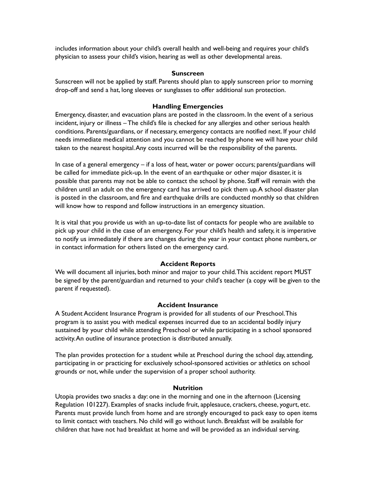includes information about your child's overall health and well-being and requires your child's physician to assess your child's vision, hearing as well as other developmental areas.

### **Sunscreen**

Sunscreen will not be applied by staff. Parents should plan to apply sunscreen prior to morning drop-off and send a hat, long sleeves or sunglasses to offer additional sun protection.

# **Handling Emergencies**

Emergency, disaster, and evacuation plans are posted in the classroom. In the event of a serious incident, injury or illness – The child's file is checked for any allergies and other serious health conditions. Parents/guardians, or if necessary, emergency contacts are notified next. If your child needs immediate medical attention and you cannot be reached by phone we will have your child taken to the nearest hospital.Any costs incurred will be the responsibility of the parents.

In case of a general emergency – if a loss of heat, water or power occurs; parents/guardians will be called for immediate pick-up. In the event of an earthquake or other major disaster, it is possible that parents may not be able to contact the school by phone. Staff will remain with the children until an adult on the emergency card has arrived to pick them up.A school disaster plan is posted in the classroom, and fire and earthquake drills are conducted monthly so that children will know how to respond and follow instructions in an emergency situation.

It is vital that you provide us with an up-to-date list of contacts for people who are available to pick up your child in the case of an emergency. For your child's health and safety, it is imperative to notify us immediately if there are changes during the year in your contact phone numbers, or in contact information for others listed on the emergency card.

# **Accident Reports**

We will document all injuries, both minor and major to your child.This accident report MUST be signed by the parent/guardian and returned to your child's teacher (a copy will be given to the parent if requested).

# **Accident Insurance**

A Student Accident Insurance Program is provided for all students of our Preschool.This program is to assist you with medical expenses incurred due to an accidental bodily injury sustained by your child while attending Preschool or while participating in a school sponsored activity.An outline of insurance protection is distributed annually.

The plan provides protection for a student while at Preschool during the school day, attending, participating in or practicing for exclusively school-sponsored activities or athletics on school grounds or not, while under the supervision of a proper school authority.

# **Nutrition**

Utopia provides two snacks a day: one in the morning and one in the afternoon (Licensing Regulation 101227). Examples of snacks include fruit, applesauce, crackers, cheese, yogurt, etc. Parents must provide lunch from home and are strongly encouraged to pack easy to open items to limit contact with teachers. No child will go without lunch. Breakfast will be available for children that have not had breakfast at home and will be provided as an individual serving.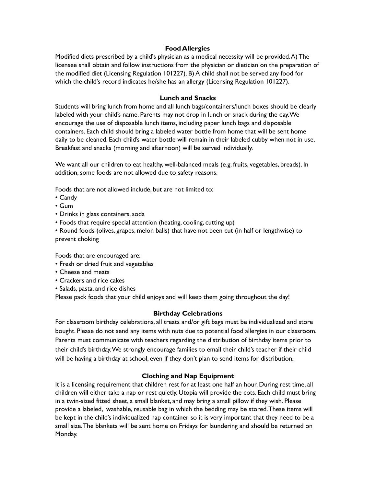# **Food Allergies**

Modified diets prescribed by a child's physician as a medical necessity will be provided.A) The licensee shall obtain and follow instructions from the physician or dietician on the preparation of the modified diet (Licensing Regulation 101227). B) A child shall not be served any food for which the child's record indicates he/she has an allergy (Licensing Regulation 101227).

## **Lunch and Snacks**

Students will bring lunch from home and all lunch bags/containers/lunch boxes should be clearly labeled with your child's name. Parents may not drop in lunch or snack during the day.We encourage the use of disposable lunch items, including paper lunch bags and disposable containers. Each child should bring a labeled water bottle from home that will be sent home daily to be cleaned. Each child's water bottle will remain in their labeled cubby when not in use. Breakfast and snacks (morning and afternoon) will be served individually.

We want all our children to eat healthy, well-balanced meals (e.g. fruits, vegetables, breads). In addition, some foods are not allowed due to safety reasons.

Foods that are not allowed include, but are not limited to:

- Candy
- Gum
- Drinks in glass containers, soda
- Foods that require special attention (heating, cooling, cutting up)
- Round foods (olives, grapes, melon balls) that have not been cut (in half or lengthwise) to prevent choking

Foods that are encouraged are:

- Fresh or dried fruit and vegetables
- Cheese and meats
- Crackers and rice cakes
- Salads, pasta, and rice dishes

Please pack foods that your child enjoys and will keep them going throughout the day!

# **Birthday Celebrations**

For classroom birthday celebrations, all treats and/or gift bags must be individualized and store bought. Please do not send any items with nuts due to potential food allergies in our classroom. Parents must communicate with teachers regarding the distribution of birthday items prior to their child's birthday.We strongly encourage families to email their child's teacher if their child will be having a birthday at school, even if they don't plan to send items for distribution.

### **Clothing and Nap Equipment**

It is a licensing requirement that children rest for at least one half an hour. During rest time, all children will either take a nap or rest quietly. Utopia will provide the cots. Each child must bring in a twin-sized fitted sheet, a small blanket, and may bring a small pillow if they wish. Please provide a labeled, washable, reusable bag in which the bedding may be stored. These items will be kept in the child's individualized nap container so it is very important that they need to be a small size.The blankets will be sent home on Fridays for laundering and should be returned on Monday.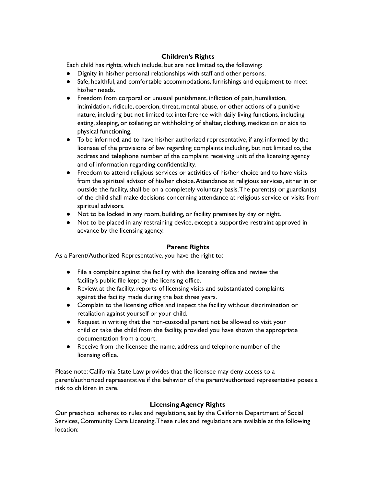# **Children's Rights**

Each child has rights, which include, but are not limited to, the following:

- Dignity in his/her personal relationships with staff and other persons.
- Safe, healthful, and comfortable accommodations, furnishings and equipment to meet his/her needs.
- Freedom from corporal or unusual punishment, infliction of pain, humiliation, intimidation, ridicule, coercion, threat, mental abuse, or other actions of a punitive nature, including but not limited to: interference with daily living functions, including eating, sleeping, or toileting; or withholding of shelter, clothing, medication or aids to physical functioning.
- To be informed, and to have his/her authorized representative, if any, informed by the licensee of the provisions of law regarding complaints including, but not limited to, the address and telephone number of the complaint receiving unit of the licensing agency and of information regarding confidentiality.
- Freedom to attend religious services or activities of his/her choice and to have visits from the spiritual advisor of his/her choice.Attendance at religious services, either in or outside the facility, shall be on a completely voluntary basis. The parent(s) or guardian(s) of the child shall make decisions concerning attendance at religious service or visits from spiritual advisors.
- Not to be locked in any room, building, or facility premises by day or night.
- Not to be placed in any restraining device, except a supportive restraint approved in advance by the licensing agency.

# **Parent Rights**

As a Parent/Authorized Representative, you have the right to:

- File a complaint against the facility with the licensing office and review the facility's public file kept by the licensing office.
- Review, at the facility, reports of licensing visits and substantiated complaints against the facility made during the last three years.
- Complain to the licensing office and inspect the facility without discrimination or retaliation against yourself or your child.
- Request in writing that the non-custodial parent not be allowed to visit your child or take the child from the facility, provided you have shown the appropriate documentation from a court.
- Receive from the licensee the name, address and telephone number of the licensing office.

Please note: California State Law provides that the licensee may deny access to a parent/authorized representative if the behavior of the parent/authorized representative poses a risk to children in care.

# **Licensing Agency Rights**

Our preschool adheres to rules and regulations,set by the California Department of Social Services, Community Care Licensing.These rules and regulations are available at the following location: